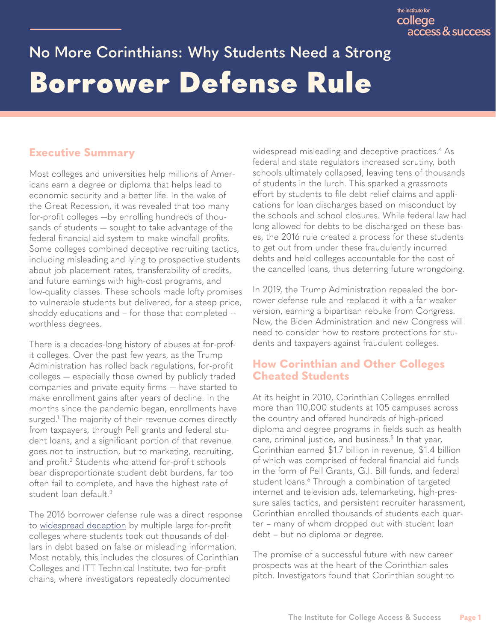# <span id="page-0-0"></span>**No More Corinthians: Why Students Need a Strong** Borrower Defense Rule

## **Executive Summary**

Most colleges and universities help millions of Americans earn a degree or diploma that helps lead to economic security and a better life. In the wake of the Great Recession, it was revealed that too many for-profit colleges —by enrolling hundreds of thousands of students — sought to take advantage of the federal financial aid system to make windfall profits. Some colleges combined deceptive recruiting tactics, including misleading and lying to prospective students about job placement rates, transferability of credits, and future earnings with high-cost programs, and low-quality classes. These schools made lofty promises to vulnerable students but delivered, for a steep price, shoddy educations and – for those that completed - worthless degrees.

There is a decades-long history of abuses at for-profit colleges. Over the past few years, as the Trump Administration has rolled back regulations, for-profit colleges — especially those owned by publicly traded companies and private equity firms — have started to make enrollment gains after years of decline. In the months since the pandemic began, enrollments have surged[.1](#page-5-0) The majority of their revenue comes directly from taxpayers, through Pell grants and federal student loans, and a significant portion of that revenue goes not to instruction, but to marketing, recruiting, and profit[.2](#page-5-0) Students who attend for-profit schools bear disproportionate student debt burdens, far too often fail to complete, and have the highest rate of student loan default[.3](#page-5-0)

The 2016 borrower defense rule was a direct response to [widespread deception](https://www.govinfo.gov/content/pkg/CPRT-112SPRT74931/pdf/CPRT-112SPRT74931.pdf) by multiple large for-profit colleges where students took out thousands of dollars in debt based on false or misleading information. Most notably, this includes the closures of Corinthian Colleges and ITT Technical Institute, two for-profit chains, where investigators repeatedly documented

widespread misleading and deceptive practices.<sup>[4](#page-5-0)</sup> As federal and state regulators increased scrutiny, both schools ultimately collapsed, leaving tens of thousands of students in the lurch. This sparked a grassroots effort by students to file debt relief claims and applications for loan discharges based on misconduct by the schools and school closures. While federal law had long allowed for debts to be discharged on these bases, the 2016 rule created a process for these students to get out from under these fraudulently incurred debts and held colleges accountable for the cost of the cancelled loans, thus deterring future wrongdoing.

In 2019, the Trump Administration repealed the borrower defense rule and replaced it with a far weaker version, earning a bipartisan rebuke from Congress. Now, the Biden Administration and new Congress will need to consider how to restore protections for students and taxpayers against fraudulent colleges.

### **How Corinthian and Other Colleges Cheated Students**

At its height in 2010, Corinthian Colleges enrolled more than 110,000 students at 105 campuses across the country and offered hundreds of high-priced diploma and degree programs in fields such as health care, criminal justice, and business[.5](#page-5-0) In that year, Corinthian earned \$1.7 billion in revenue, \$1.4 billion of which was comprised of federal financial aid funds in the form of Pell Grants, G.I. Bill funds, and federal student loans.<sup>6</sup> Through a combination of targeted internet and television ads, telemarketing, high-pressure sales tactics, and persistent recruiter harassment, Corinthian enrolled thousands of students each quarter – many of whom dropped out with student loan debt – but no diploma or degree.

The promise of a successful future with new career prospects was at the heart of the Corinthian sales pitch. Investigators found that Corinthian sought to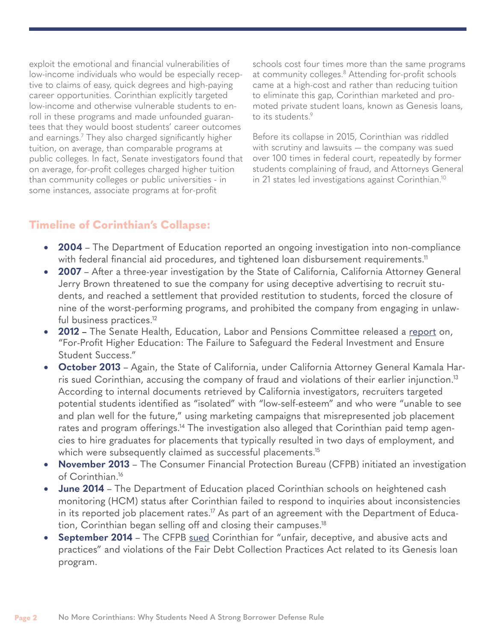<span id="page-1-0"></span>exploit the emotional and financial vulnerabilities of low-income individuals who would be especially receptive to claims of easy, quick degrees and high-paying career opportunities. Corinthian explicitly targeted low-income and otherwise vulnerable students to enroll in these programs and made unfounded guarantees that they would boost students' career outcomes and earnings[.7](#page-5-0) They also charged significantly higher tuition, on average, than comparable programs at public colleges. In fact, Senate investigators found that on average, for-profit colleges charged higher tuition than community colleges or public universities - in some instances, associate programs at for-profit

schools cost four times more than the same programs at community colleges.<sup>[8](#page-5-0)</sup> Attending for-profit schools came at a high-cost and rather than reducing tuition to eliminate this gap, Corinthian marketed and promoted private student loans, known as Genesis loans, to its students.<sup>9</sup>

Before its collapse in 2015, Corinthian was riddled with scrutiny and lawsuits — the company was sued over 100 times in federal court, repeatedly by former students complaining of fraud, and Attorneys General in 21 states led investigations against Corinthian[.10](#page-5-0)

### **Timeline of Corinthian's Collapse:**

- **2004** The Department of Education reported an ongoing investigation into non-compliance with federal financial aid procedures, and tightened loan disbursement requirements.<sup>11</sup>
- **2007** After a three-year investigation by the State of California, California Attorney General Jerry Brown threatened to sue the company for using deceptive advertising to recruit students, and reached a settlement that provided restitution to students, forced the closure of nine of the worst-performing programs, and prohibited the company from engaging in unlawful business practices.<sup>12</sup>
- • **2012** The Senate Health, Education, Labor and Pensions Committee released a [report](https://www.govinfo.gov/content/pkg/CPRT-112SPRT74931/pdf/CPRT-112SPRT74931.pdf) on, "For-Profit Higher Education: The Failure to Safeguard the Federal Investment and Ensure Student Success."
- **October 2013** Again, the State of California, under California Attorney General Kamala Harris sued Corinthian, accusing the company of fraud and violations of their earlier injunction[.13](#page-5-0) According to internal documents retrieved by California investigators, recruiters targeted potential students identified as "isolated" with "low-self-esteem" and who were "unable to see and plan well for the future," using marketing campaigns that misrepresented job placement rates and program offerings.<sup>14</sup> The investigation also alleged that Corinthian paid temp agencies to hire graduates for placements that typically resulted in two days of employment, and which were subsequently claimed as successful placements.<sup>15</sup>
- • **November 2013** The Consumer Financial Protection Bureau (CFPB) initiated an investigation of Corinthian[.16](#page-5-0)
- **June 2014** The Department of Education placed Corinthian schools on heightened cash monitoring (HCM) status after Corinthian failed to respond to inquiries about inconsistencies in its reported job placement rates.<sup>17</sup> As part of an agreement with the Department of Education, Corinthian began selling off and closing their campuses.<sup>18</sup>
- **September 2014** The CFPB [sued](https://files.consumerfinance.gov/f/201409_cfpb_complaint_corinthian.pdf) Corinthian for "unfair, deceptive, and abusive acts and practices" and violations of the Fair Debt Collection Practices Act related to its Genesis loan program.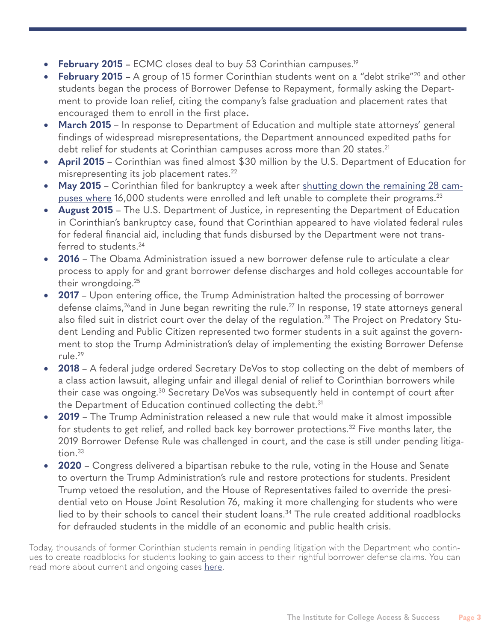- <span id="page-2-0"></span>• **February 2015 –** ECMC closes deal to buy 53 Corinthian campuses.<sup>19</sup>
- **February 2015** A group of 15 former Corinthian students went on a "debt strike"<sup>20</sup> and other students began the process of Borrower Defense to Repayment, formally asking the Department to provide loan relief, citing the company's false graduation and placement rates that encouraged them to enroll in the first place**.**
- **March 2015** In response to Department of Education and multiple state attorneys' general findings of widespread misrepresentations, the Department announced expedited paths for debt relief for students at Corinthian campuses across more than 20 states.<sup>[21](#page-6-0)</sup>
- **April 2015** Corinthian was fined almost \$30 million by the U.S. Department of Education for misrepresenting its job placement rates. [22](#page-6-0)
- May 2015 Corinthian filed for bankruptcy a week after shutting down the remaining 28 campuses where 16,000 students were enrolled and left unable to complete their programs.[23](#page-6-0)
- **August 2015** The U.S. Department of Justice, in representing the Department of Education in Corinthian's bankruptcy case, found that Corinthian appeared to have violated federal rules for federal financial aid, including that funds disbursed by the Department were not transferred to students.<sup>24</sup>
- **2016** The Obama Administration issued a new borrower defense rule to articulate a clear process to apply for and grant borrower defense discharges and hold colleges accountable for their wrongdoing.[25](#page-6-0)
- **2017** Upon entering office, the Trump Administration halted the processing of borrower defense claims,<sup>26</sup>and in June began rewriting the rule.<sup>27</sup> In response, 19 state attorneys general also filed suit in district court over the delay of the regulation.<sup>28</sup> The Project on Predatory Student Lending and Public Citizen represented two former students in a suit against the government to stop the Trump Administration's delay of implementing the existing Borrower Defense rule.[29](#page-6-0)
- **2018** A federal judge ordered Secretary DeVos to stop collecting on the debt of members of a class action lawsuit, alleging unfair and illegal denial of relief to Corinthian borrowers while their case was ongoing.[30](#page-6-0) Secretary DeVos was subsequently held in contempt of court after the Department of Education continued collecting the debt.<sup>31</sup>
- **2019** The Trump Administration released a new rule that would make it almost impossible for students to get relief, and rolled back key borrower protections.<sup>32</sup> Five months later, the 2019 Borrower Defense Rule was challenged in court, and the case is still under pending litigation.<sup>33</sup>
- **2020** Congress delivered a bipartisan rebuke to the rule, voting in the House and Senate to overturn the Trump Administration's rule and restore protections for students. President Trump vetoed the resolution, and the House of Representatives failed to override the presidential veto on House Joint Resolution 76, making it more challenging for students who were lied to by their schools to cancel their student loans.<sup>34</sup> The rule created additional roadblocks for defrauded students in the middle of an economic and public health crisis.

Today, thousands of former Corinthian students remain in pending litigation with the Department who continues to create roadblocks for students looking to gain access to their rightful borrower defense claims. You can read more about current and ongoing cases [here](https://predatorystudentlending.org/cases/).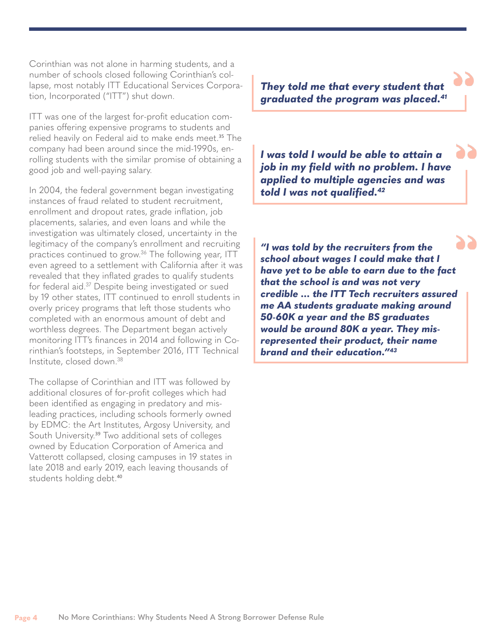Corinthian was not alone in harming students, and a number of schools closed following Corinthian's collapse, most notably ITT Educational Services Corporation, Incorporated ("ITT") shut down.

ITT was one of the largest for-profit education companies offering expensive programs to students and relied heavily on Federal aid to make ends meet.<sup>[35](#page-6-0)</sup> The company had been around since the mid-1990s, enrolling students with the similar promise of obtaining a good job and well-paying salary.

In 2004, the federal government began investigating instances of fraud related to student recruitment, enrollment and dropout rates, grade inflation, job placements, salaries, and even loans and while the investigation was ultimately closed, uncertainty in the legitimacy of the company's enrollment and recruiting practices continued to grow.[36](#page-6-0) The following year, ITT even agreed to a settlement with California after it was revealed that they inflated grades to qualify students for federal aid[.37](#page-6-0) Despite being investigated or sued by 19 other states, ITT continued to enroll students in overly pricey programs that left those students who completed with an enormous amount of debt and worthless degrees. The Department began actively monitoring ITT's finances in 2014 and following in Corinthian's footsteps, in September 2016, ITT Technical Institute, closed down.[38](#page-6-0)

The collapse of Corinthian and ITT was followed by additional closures of for-profit colleges which had been identified as engaging in predatory and misleading practices, including schools formerly owned by EDMC: the Art Institutes, Argosy University, and South University.<sup>[39](#page-6-0)</sup> Two additional sets of colleges owned by Education Corporation of America and Vatterott collapsed, closing campuses in 19 states in late 2018 and early 2019, each leaving thousands of students holding debt.[40](#page-6-0)

*They told me that every student that graduated the program was placed[.41](#page-6-0)*

*I was told I would be able to attain a job in my field with no problem. I have applied to multiple agencies and was told I was not qualified[.42](#page-6-0)*

*"I was told by the recruiters from the school about wages I could make that I have yet to be able to earn due to the fact that the school is and was not very credible … the ITT Tech recruiters assured me AA students graduate making around 50-60K a year and the BS graduates would be around 80K a year. They misrepresented their product, their name brand and their education."[43](#page-6-0)*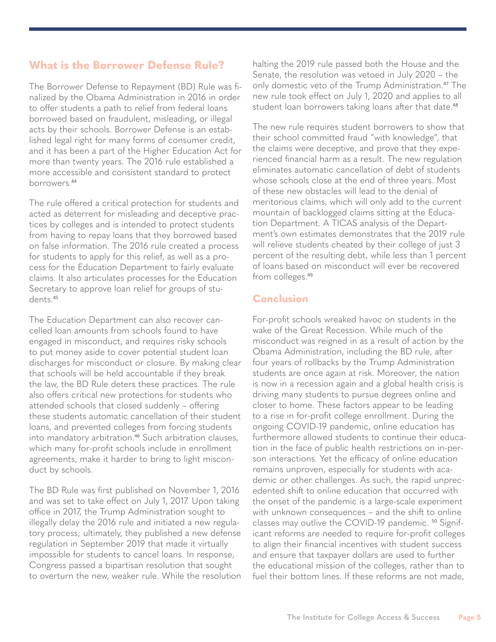#### **What is the Borrower Defense Rule?**

The Borrower Defense to Repayment (BD) Rule was finalized by the Obama Administration in 2016 in order to offer students a path to relief from federal loans borrowed based on fraudulent, misleading, or illegal acts by their schools. Borrower Defense is an established legal right for many forms of consumer credit, and it has been a part of the Higher Education Act for more than twenty years. The 2016 rule established a more accessible and consistent standard to protect borrowers.[44](#page-6-0)

The rule offered a critical protection for students and acted as deterrent for misleading and deceptive practices by colleges and is intended to protect students from having to repay loans that they borrowed based on false information. The 2016 rule created a process for students to apply for this relief, as well as a process for the Education Department to fairly evaluate claims. It also articulates processes for the Education Secretary to approve loan relief for groups of students.[45](#page-6-0)

The Education Department can also recover cancelled loan amounts from schools found to have engaged in misconduct, and requires risky schools to put money aside to cover potential student loan discharges for misconduct or closure. By making clear that schools will be held accountable if they break the law, the BD Rule deters these practices. The rule also offers critical new protections for students who attended schools that closed suddenly – offering these students automatic cancellation of their student loans, and prevented colleges from forcing students into mandatory arbitration.<sup>[46](#page-6-0)</sup> Such arbitration clauses, which many for-profit schools include in enrollment agreements, make it harder to bring to light misconduct by schools.

The BD Rule was first published on November 1, 2016 and was set to take effect on July 1, 2017. Upon taking office in 2017, the Trump Administration sought to illegally delay the 2016 rule and initiated a new regulatory process; ultimately, they published a new defense regulation in September 2019 that made it virtually impossible for students to cancel loans. In response, Congress passed a bipartisan resolution that sought to overturn the new, weaker rule. While the resolution halting the 2019 rule passed both the House and the Senate, the resolution was vetoed in July 2020 – the only domestic veto of the Trump Administration.<sup>[47](#page-6-0)</sup> The new rule took effect on July 1, 2020 and applies to all student loan borrowers taking loans after that date.<sup>[48](#page-6-0)</sup>

The new rule requires student borrowers to show that their school committed fraud "with knowledge", that the claims were deceptive, and prove that they experienced financial harm as a result. The new regulation eliminates automatic cancellation of debt of students whose schools close at the end of three years. Most of these new obstacles will lead to the denial of meritorious claims, which will only add to the current mountain of backlogged claims sitting at the Education Department. A TICAS analysis of the Department's own estimates demonstrates that the 2019 rule will relieve students cheated by their college of just 3 percent of the resulting debt, while less than 1 percent of loans based on misconduct will ever be recovered from colleges.<sup>[49](#page-6-0)</sup>

#### **Conclusion**

For-profit schools wreaked havoc on students in the wake of the Great Recession. While much of the misconduct was reigned in as a result of action by the Obama Administration, including the BD rule, after four years of rollbacks by the Trump Administration students are once again at risk. Moreover, the nation is now in a recession again and a global health crisis is driving many students to pursue degrees online and closer to home. These factors appear to be leading to a rise in for-profit college enrollment. During the ongoing COVID-19 pandemic, online education has furthermore allowed students to continue their education in the face of public health restrictions on in-person interactions. Yet the efficacy of online education remains unproven, especially for students with academic or other challenges. As such, the rapid unprecedented shift to online education that occurred with the onset of the pandemic is a large-scale experiment with unknown consequences – and the shift to online classes may outlive the COVID-19 pandemic.<sup>[50](#page-6-0)</sup> Significant reforms are needed to require for-profit colleges to align their financial incentives with student success and ensure that taxpayer dollars are used to further the educational mission of the colleges, rather than to fuel their bottom lines. If these reforms are not made,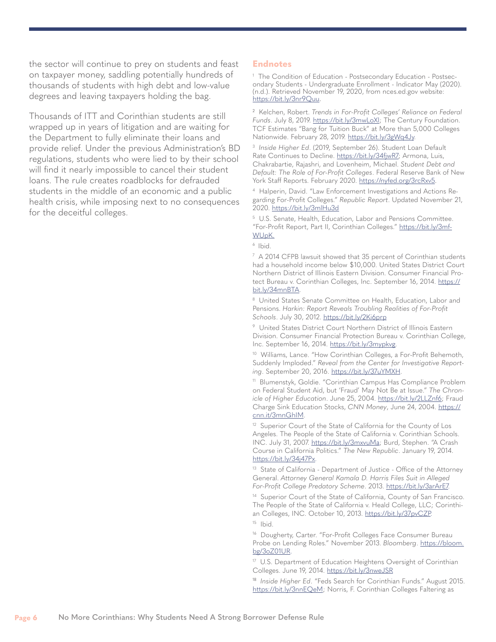<span id="page-5-0"></span>the sector will continue to prey on students and feast on taxpayer money, saddling potentially hundreds of thousands of students with high debt and low-value degrees and leaving taxpayers holding the bag.

Thousands of ITT and Corinthian students are still wrapped up in years of litigation and are waiting for the Department to fully eliminate their loans and provide relief. Under the previous Administration's BD regulations, students who were lied to by their school will find it nearly impossible to cancel their student loans. The rule creates roadblocks for defrauded students in the middle of an economic and a public health crisis, while imposing next to no consequences for the deceitful colleges.

#### **Endnotes**

[1](#page-0-0) The Condition of Education - Postsecondary Education - Postsecondary Students - Undergraduate Enrollment - Indicator May (2020). (n.d.). Retrieved November 19, 2020, from nces.ed.gov website: [https://bit.ly/3nr9Quu.](https://bit.ly/3nr9Quu)

[2](#page-0-0) Kelchen, Robert. *Trends in For-Profit Colleges' Reliance on Federal Funds*. July 8, 2019. <https://bit.ly/3mwLoXl>; The Century Foundation. TCF Estimates "Bang for Tuition Buck" at More than 5,000 Colleges Nationwide. February 28, 2019. <https://bit.ly/3gWq4Jy>.

[3](#page-0-0)  *Inside Higher Ed*. (2019, September 26). Student Loan Default Rate Continues to Decline. [https://bit.ly/34fjwR7;](https://bit.ly/34fjwR7) Armona, Luis, Chakrabartie, Rajashri, and Lovenheim, Michael. *Student Debt and Default: The Role of For-Profit Colleges*. Federal Reserve Bank of New York Staff Reports. February 2020.<https://nyfed.org/3rcRxv5>.

[4](#page-0-0) Halperin, David. "Law Enforcement Investigations and Actions Regarding For-Profit Colleges." *Republic Report*. Updated November 21, 2020. <https://bit.ly/3mlHu3d>

[5](#page-0-0) U.S. Senate, Health, Education, Labor and Pensions Committee. "For-Profit Report, Part II, Corinthian Colleges." [https://bit.ly/3mf-](https://bit.ly/3mfWUpK)[WUpK.](https://bit.ly/3mfWUpK)

[6](#page-0-0) Ibid.

 $7$  A 2014 CFPB lawsuit showed that 35 percent of Corinthian students had a household income below \$10,000. United States District Court Northern District of Illinois Eastern Division. Consumer Financial Protect Bureau v. Corinthian Colleges, Inc. September 16, 2014. [https://](https://bit.ly/34mnBTA) [bit.ly/34mnBTA.](https://bit.ly/34mnBTA)

[8](#page-1-0) United States Senate Committee on Health, Education, Labor and Pensions. *Harkin: Report Reveals Troubling Realities of For-Profit*  Schools. July 30, 2012.<https://bit.ly/2Ki6prp>

[9](#page-1-0) United States District Court Northern District of Illinois Eastern Division. Consumer Financial Protection Bureau v. Corinthian College, Inc. September 16, 2014.<https://bit.ly/3mypkvg>.

<sup>10</sup> Williams, Lance. "How Corinthian Colleges, a For-Profit Behemoth, Suddenly Imploded." *Reveal from the Center for Investigative Reporting*. September 20, 2016.<https://bit.ly/37uYMXH>.

11 Blumenstyk, Goldie. "Corinthian Campus Has Compliance Problem on Federal Student Aid, but 'Fraud' May Not Be at Issue." *The Chronicle of Higher Education*. June 25, 2004. <https://bit.ly/2LLZnf6>; Fraud Charge Sink Education Stocks, *CNN Money*, June 24, 2004. [https://](https://cnn.it/3mnGhIM) [cnn.it/3mnGhIM.](https://cnn.it/3mnGhIM)

 $12$  Superior Court of the State of California for the County of Los Angeles. The People of the State of California v. Corinthian Schools. INC. July 31, 2007. [https://bit.ly/3mxvuMa;](https://bit.ly/3mxvuMa) Burd, Stephen. "A Crash Course in California Politics." *The New Republic*. January 19, 2014. [https://bit.ly/34j47Px.](https://bit.ly/34j47Px)

<sup>13</sup> State of California - Department of Justice - Office of the Attorney General. *Attorney General Kamala D. Harris Files Suit in Alleged For-Profit College Predatory Scheme*. 2013.<https://bit.ly/3arArE7>.

<sup>14</sup> Superior Court of the State of California, County of San Francisco. The People of the State of California v. Heald College, LLC; Corinthian Colleges, INC. October 10, 2013. [https://bit.ly/37pvCZP.](https://bit.ly/37pvCZP)  $15$  Ibid.

<sup>16</sup> Dougherty, Carter. "For-Profit Colleges Face Consumer Bureau Probe on Lending Roles." November 2013. *Bloomberg*. [https://bloom.](https://bloom.bg/3oZ01UR) [bg/3oZ01UR.](https://bloom.bg/3oZ01UR)

<sup>17</sup> U.S. Department of Education Heightens Oversight of Corinthian Colleges. June 19, 2014. <https://bit.ly/3nweJSR>

[18](#page-1-0) *Inside Higher Ed*. "Feds Search for Corinthian Funds." August 2015. [https://bit.ly/3nnEQeM;](https://bit.ly/3nnEQeM) Norris, F. Corinthian Colleges Faltering as